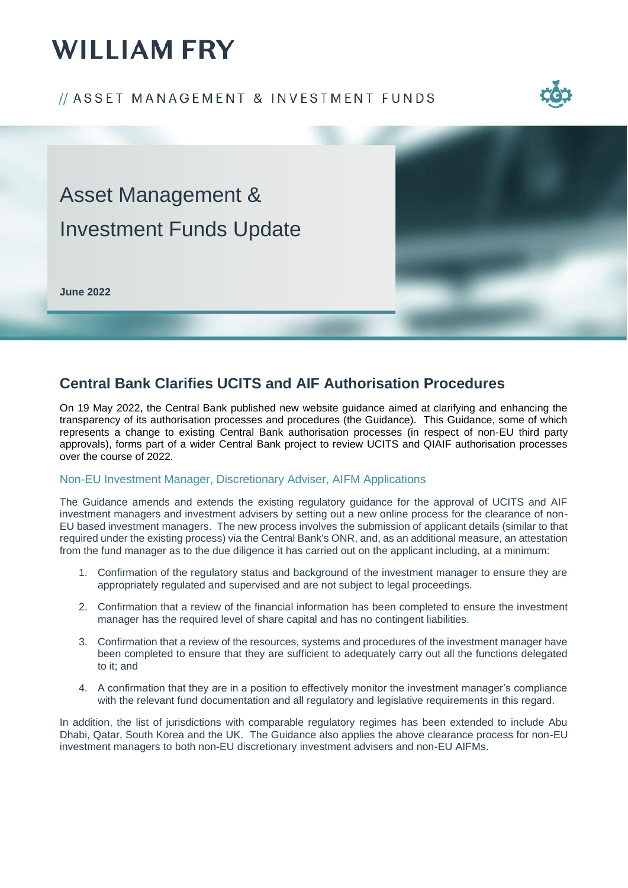# **WILLIAM FRY**

### // ASSET MANAGEMENT & INVESTMENT FUNDS





## **Central Bank Clarifies UCITS and AIF Authorisation Procedures**

On 19 May 2022, the Central Bank published new website guidance aimed at clarifying and enhancing the transparency of its authorisation processes and procedures (the Guidance). This Guidance, some of which represents a change to existing Central Bank authorisation processes (in respect of non-EU third party approvals), forms part of a wider Central Bank project to review UCITS and QIAIF authorisation processes over the course of 2022.

#### Non-EU Investment Manager, Discretionary Adviser, AIFM Applications

The Guidance amends and extends the existing regulatory guidance for the approval of UCITS and AIF investment managers and investment advisers by setting out a new online process for the clearance of non-EU based investment managers. The new process involves the submission of applicant details (similar to that required under the existing process) via the Central Bank's ONR, and, as an additional measure, an attestation from the fund manager as to the due diligence it has carried out on the applicant including, at a minimum:

- 1. Confirmation of the regulatory status and background of the investment manager to ensure they are appropriately regulated and supervised and are not subject to legal proceedings.
- 2. Confirmation that a review of the financial information has been completed to ensure the investment manager has the required level of share capital and has no contingent liabilities.
- 3. Confirmation that a review of the resources, systems and procedures of the investment manager have been completed to ensure that they are sufficient to adequately carry out all the functions delegated to it; and
- 4. A confirmation that they are in a position to effectively monitor the investment manager's compliance with the relevant fund documentation and all regulatory and legislative requirements in this regard.

In addition, the list of jurisdictions with comparable regulatory regimes has been extended to include Abu Dhabi, Qatar, South Korea and the UK. The Guidance also applies the above clearance process for non-EU investment managers to both non-EU discretionary investment advisers and non-EU AIFMs.